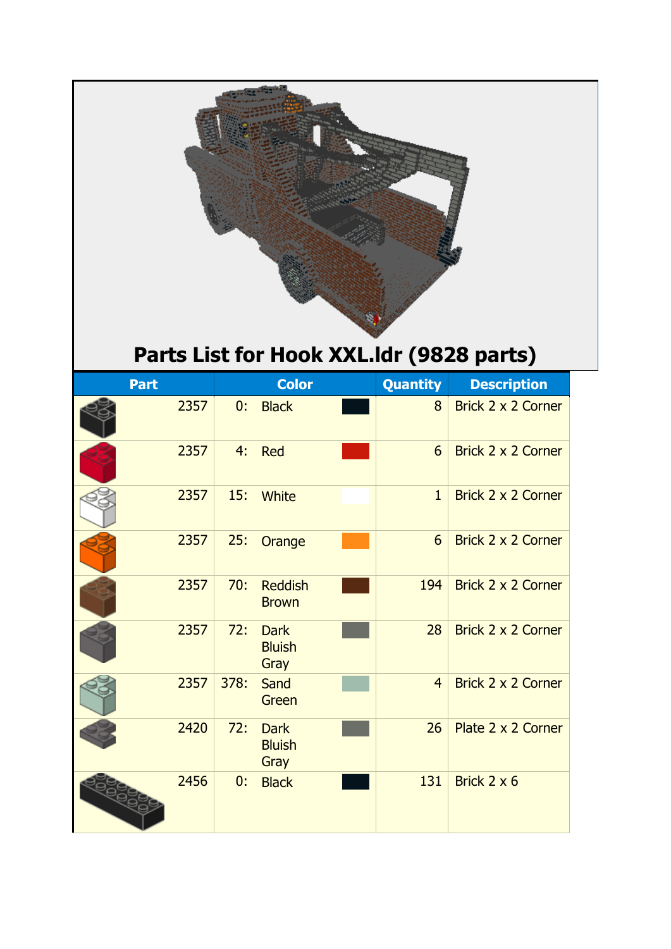

## **Parts List for Hook XXL.ldr (9828 parts)**

| <b>Part</b> |      |      | <b>Color</b>                         | <b>Quantity</b> | <b>Description</b> |
|-------------|------|------|--------------------------------------|-----------------|--------------------|
|             | 2357 | 0:   | <b>Black</b>                         | 8               | Brick 2 x 2 Corner |
|             | 2357 | 4:   | Red                                  | 6               | Brick 2 x 2 Corner |
|             | 2357 | 15:  | <b>White</b>                         | $\mathbf{1}$    | Brick 2 x 2 Corner |
|             | 2357 | 25:  | Orange                               | 6               | Brick 2 x 2 Corner |
|             | 2357 | 70:  | <b>Reddish</b><br><b>Brown</b>       | 194             | Brick 2 x 2 Corner |
|             | 2357 | 72:  | <b>Dark</b><br><b>Bluish</b><br>Gray | 28              | Brick 2 x 2 Corner |
|             | 2357 | 378: | Sand<br>Green                        | $\overline{4}$  | Brick 2 x 2 Corner |
|             | 2420 | 72:  | <b>Dark</b><br><b>Bluish</b><br>Gray | 26              | Plate 2 x 2 Corner |
|             | 2456 | 0:   | <b>Black</b>                         | 131             | Brick $2 \times 6$ |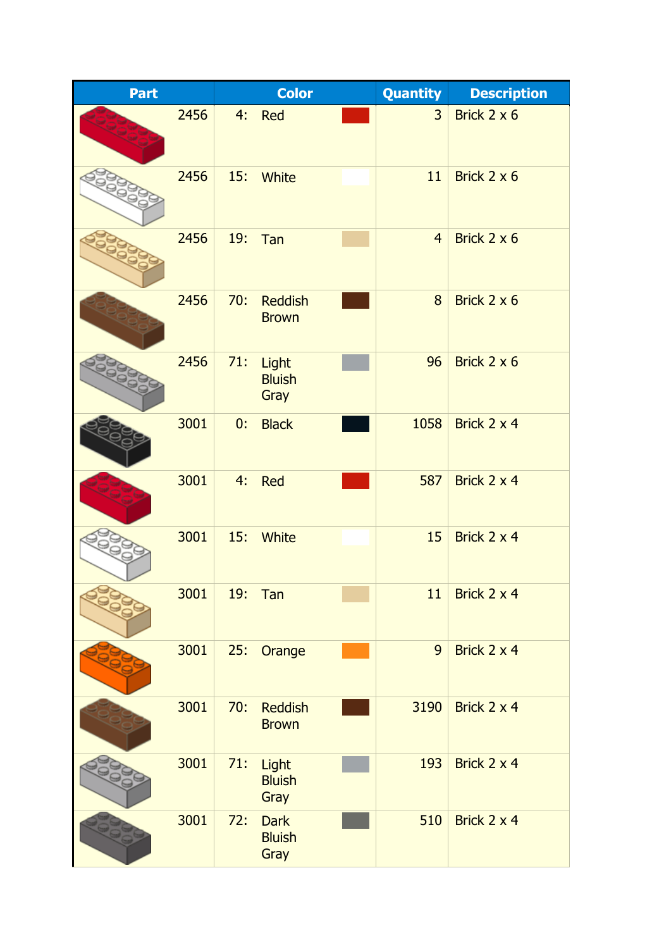| Part |      |     | <b>Color</b>                         | Quantity       | <b>Description</b> |
|------|------|-----|--------------------------------------|----------------|--------------------|
|      | 2456 |     | 4: Red                               | 3              | Brick $2 \times 6$ |
|      | 2456 | 15: | White                                | 11             | Brick 2 x 6        |
|      | 2456 | 19: | Tan                                  | $\overline{4}$ | Brick 2 x 6        |
|      | 2456 | 70: | <b>Reddish</b><br><b>Brown</b>       | 8              | Brick 2 x 6        |
|      | 2456 | 71: | Light<br><b>Bluish</b><br>Gray       | 96             | Brick 2 x 6        |
|      | 3001 | 0:  | <b>Black</b>                         | 1058           | Brick 2 x 4        |
|      | 3001 | 4:  | <b>Red</b>                           | 587            | Brick 2 x 4        |
|      | 3001 | 15: | <b>White</b>                         | 15             | Brick 2 x 4        |
|      | 3001 | 19: | Tan                                  | 11             | Brick 2 x 4        |
|      | 3001 | 25: | Orange                               | 9              | Brick 2 x 4        |
|      | 3001 | 70: | <b>Reddish</b><br><b>Brown</b>       | 3190           | Brick 2 x 4        |
|      | 3001 | 71: | Light<br><b>Bluish</b><br>Gray       | 193            | Brick 2 x 4        |
|      | 3001 | 72: | <b>Dark</b><br><b>Bluish</b><br>Gray | 510            | Brick 2 x 4        |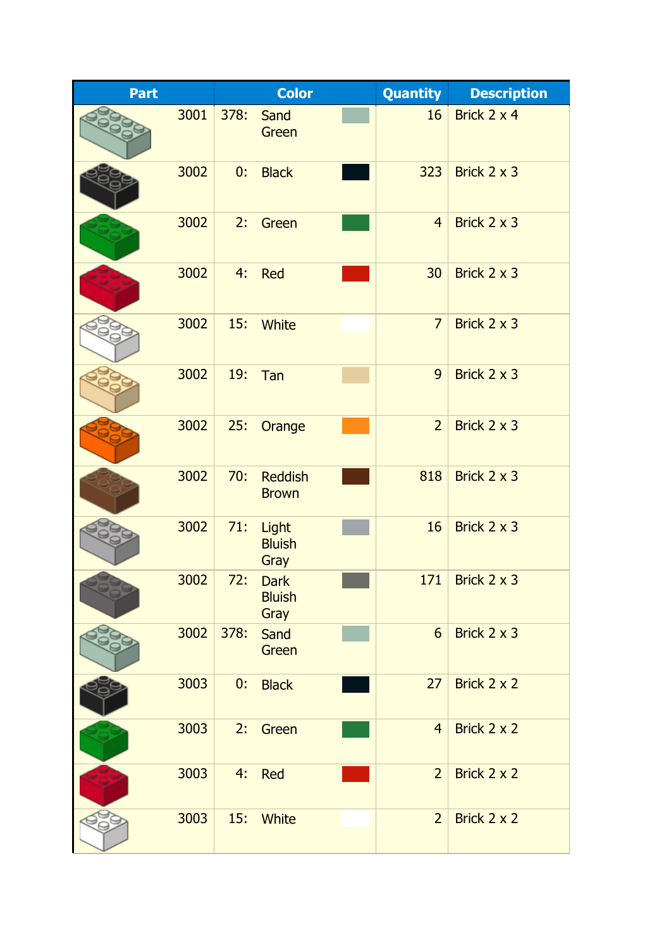| <b>Part</b> |      |      | <b>Color</b>                         | <b>Quantity</b> | <b>Description</b> |
|-------------|------|------|--------------------------------------|-----------------|--------------------|
|             | 3001 | 378: | Sand<br>Green                        | 16              | Brick 2 x 4        |
|             | 3002 | 0:   | <b>Black</b>                         | 323             | Brick 2 x 3        |
|             | 3002 | 2:   | Green                                | $\overline{4}$  | Brick 2 x 3        |
|             | 3002 | 4:   | <b>Red</b>                           | 30              | Brick 2 x 3        |
|             | 3002 | 15:  | <b>White</b>                         | $\overline{7}$  | Brick 2 x 3        |
|             | 3002 | 19:  | Tan                                  | 9               | Brick 2 x 3        |
|             | 3002 | 25:  | Orange                               | $\overline{2}$  | Brick 2 x 3        |
|             | 3002 | 70:  | <b>Reddish</b><br><b>Brown</b>       | 818             | Brick 2 x 3        |
|             | 3002 | 71:  | Light<br><b>Bluish</b><br>Gray       | 16              | Brick 2 x 3        |
|             | 3002 | 72:  | <b>Dark</b><br><b>Bluish</b><br>Gray | 171             | Brick $2 \times 3$ |
|             | 3002 | 378: | Sand<br>Green                        | 6               | Brick 2 x 3        |
|             | 3003 | 0:   | <b>Black</b>                         | 27              | Brick 2 x 2        |
|             | 3003 | 2:   | Green                                | $\overline{4}$  | Brick 2 x 2        |
|             | 3003 | 4:   | <b>Red</b>                           | $\overline{2}$  | Brick 2 x 2        |
|             | 3003 | 15:  | White                                | $\overline{2}$  | Brick 2 x 2        |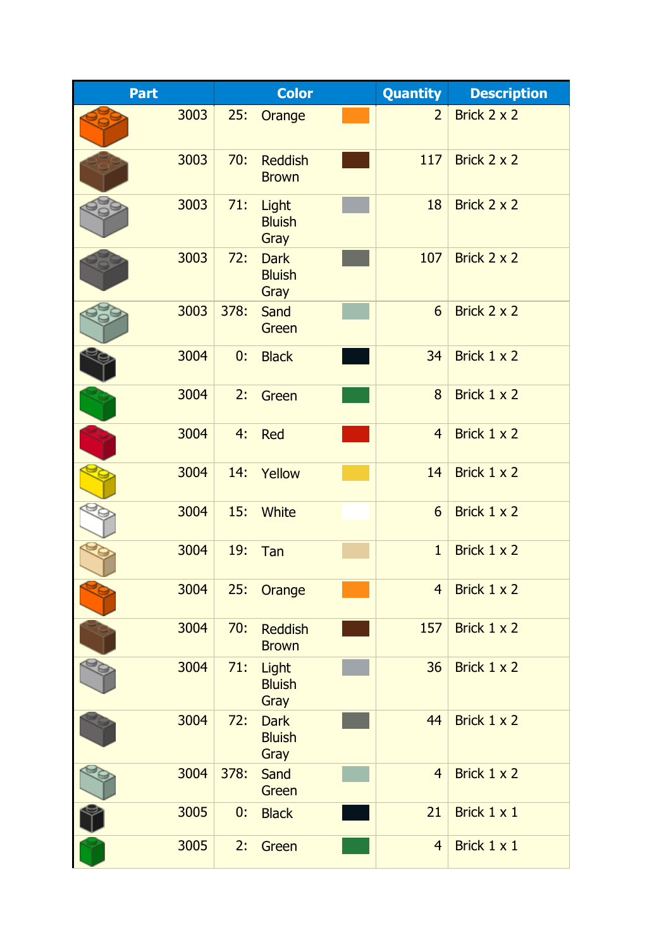| <b>Part</b> |      |      | <b>Color</b>                         | <b>Quantity</b> | <b>Description</b>   |
|-------------|------|------|--------------------------------------|-----------------|----------------------|
|             | 3003 | 25:  | Orange                               | $\overline{2}$  | Brick 2 x 2          |
|             | 3003 | 70:  | <b>Reddish</b><br><b>Brown</b>       | 117             | Brick 2 x 2          |
|             | 3003 | 71:  | Light<br><b>Bluish</b><br>Gray       | 18              | Brick 2 x 2          |
|             | 3003 | 72:  | <b>Dark</b><br><b>Bluish</b><br>Gray | 107             | Brick 2 x 2          |
|             | 3003 | 378: | Sand<br>Green                        | 6               | Brick 2 x 2          |
|             | 3004 | 0:   | <b>Black</b>                         | 34              | Brick 1 x 2          |
|             | 3004 | 2:   | Green                                | 8               | Brick 1 x 2          |
|             | 3004 | 4:   | <b>Red</b>                           | $\overline{4}$  | Brick 1 x 2          |
|             | 3004 | 14:  | Yellow                               | 14              | Brick 1 x 2          |
|             | 3004 | 15:  | <b>White</b>                         | 6               | Brick 1 x 2          |
|             | 3004 | 19:  | Tan                                  | $\mathbf{1}$    | Brick 1 x 2          |
|             | 3004 | 25:  | Orange                               |                 | 4 Brick $1 \times 2$ |
|             | 3004 | 70:  | <b>Reddish</b><br><b>Brown</b>       | 157             | Brick 1 x 2          |
|             | 3004 | 71:  | Light<br><b>Bluish</b><br>Gray       | 36              | Brick 1 x 2          |
|             | 3004 | 72:  | <b>Dark</b><br><b>Bluish</b><br>Gray | 44              | Brick 1 x 2          |
|             | 3004 | 378: | Sand<br>Green                        | $\overline{4}$  | Brick 1 x 2          |
|             | 3005 | 0:   | <b>Black</b>                         | 21              | Brick 1 x 1          |
|             | 3005 | 2:   | Green                                | $\overline{4}$  | Brick 1 x 1          |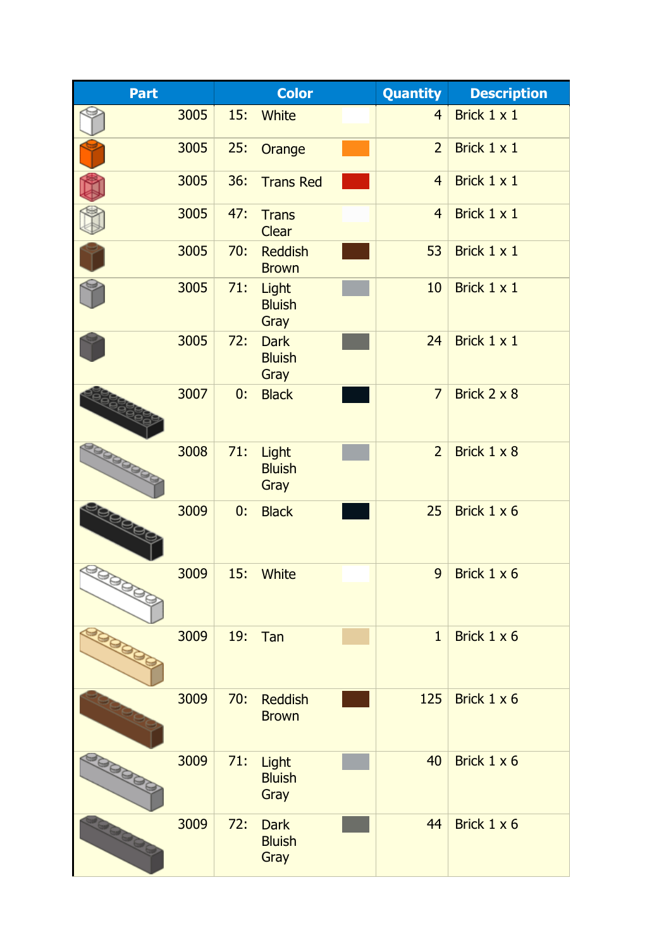| <b>Part</b> |      |     | <b>Color</b>                         | <b>Quantity</b> | <b>Description</b> |
|-------------|------|-----|--------------------------------------|-----------------|--------------------|
|             | 3005 | 15: | White                                | $\overline{4}$  | Brick 1 x 1        |
|             | 3005 | 25: | Orange                               | $\overline{2}$  | Brick 1 x 1        |
|             | 3005 | 36: | <b>Trans Red</b>                     | $\overline{4}$  | Brick 1 x 1        |
|             | 3005 | 47: | <b>Trans</b><br><b>Clear</b>         | $\overline{4}$  | Brick 1 x 1        |
|             | 3005 | 70: | <b>Reddish</b><br><b>Brown</b>       | 53              | Brick 1 x 1        |
|             | 3005 | 71: | Light<br><b>Bluish</b><br>Gray       | 10              | Brick 1 x 1        |
|             | 3005 | 72: | <b>Dark</b><br><b>Bluish</b><br>Gray | 24              | Brick 1 x 1        |
|             | 3007 | 0:  | <b>Black</b>                         | $\overline{7}$  | Brick 2 x 8        |
| 299999      | 3008 | 71: | Light<br><b>Bluish</b><br>Gray       | $\overline{2}$  | Brick 1 x 8        |
|             | 3009 | 0:  | <b>Black</b>                         | 25              | Brick 1 x 6        |
|             | 3009 | 15: | White                                | 9               | Brick 1 x 6        |
|             | 3009 | 19: | Tan                                  | $\mathbf{1}$    | Brick 1 x 6        |
|             | 3009 | 70: | <b>Reddish</b><br><b>Brown</b>       | 125             | Brick 1 x 6        |
|             | 3009 | 71: | Light<br><b>Bluish</b><br>Gray       | 40              | Brick 1 x 6        |
|             | 3009 | 72: | <b>Dark</b><br><b>Bluish</b><br>Gray | 44              | Brick 1 x 6        |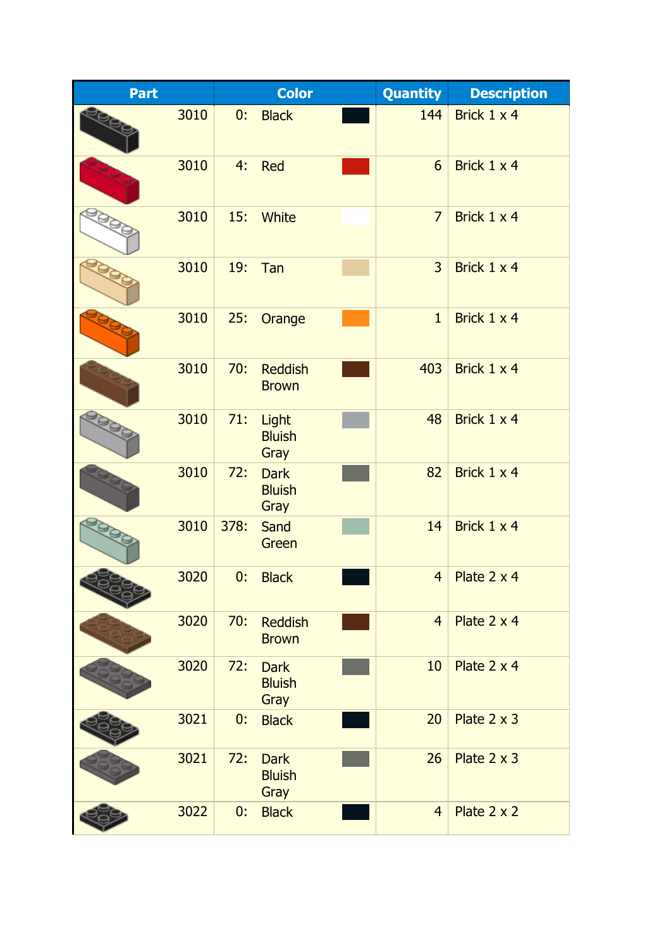| <b>Part</b> |      |      | <b>Color</b>                         | <b>Quantity</b>  | <b>Description</b> |
|-------------|------|------|--------------------------------------|------------------|--------------------|
|             | 3010 | 0:   | <b>Black</b>                         | 144              | Brick 1 x 4        |
|             | 3010 | 4:   | <b>Red</b>                           | $6 \overline{6}$ | Brick 1 x 4        |
|             | 3010 | 15:  | White                                | $\overline{7}$   | Brick 1 x 4        |
|             | 3010 | 19:  | Tan                                  | $\overline{3}$   | Brick 1 x 4        |
|             | 3010 | 25:  | Orange                               | $\mathbf{1}$     | Brick 1 x 4        |
|             | 3010 | 70:  | <b>Reddish</b><br><b>Brown</b>       | 403              | Brick 1 x 4        |
|             | 3010 | 71:  | Light<br><b>Bluish</b><br>Gray       | 48               | Brick 1 x 4        |
|             | 3010 | 72:  | <b>Dark</b><br><b>Bluish</b><br>Gray | 82               | Brick 1 x 4        |
|             | 3010 | 378: | Sand<br>Green                        | 14               | Brick 1 x 4        |
|             | 3020 | 0:   | <b>Black</b>                         | $\overline{4}$   | Plate 2 x 4        |
|             | 3020 | 70:  | <b>Reddish</b><br><b>Brown</b>       | $\overline{4}$   | Plate $2 \times 4$ |
|             | 3020 | 72:  | <b>Dark</b><br><b>Bluish</b><br>Gray | 10               | Plate 2 x 4        |
|             | 3021 | 0:   | <b>Black</b>                         | 20               | Plate 2 x 3        |
|             | 3021 | 72:  | <b>Dark</b><br><b>Bluish</b><br>Gray | 26               | Plate 2 x 3        |
|             | 3022 | 0:   | <b>Black</b>                         | $\overline{4}$   | Plate 2 x 2        |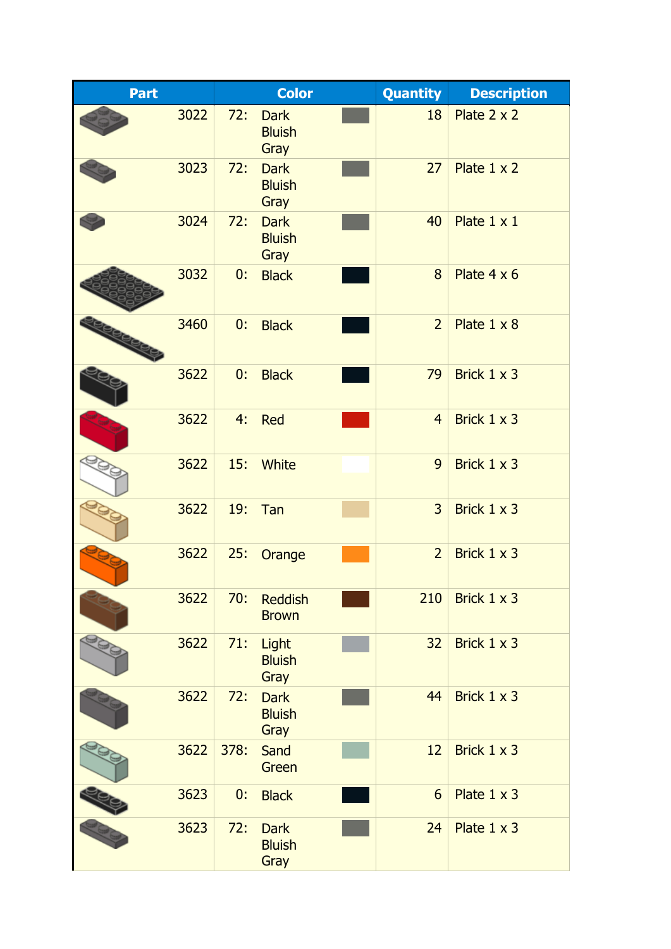| <b>Part</b> |      |      | <b>Color</b>                         | <b>Quantity</b>  | <b>Description</b> |
|-------------|------|------|--------------------------------------|------------------|--------------------|
|             | 3022 | 72:  | <b>Dark</b><br><b>Bluish</b><br>Gray | 18               | Plate $2 \times 2$ |
|             | 3023 | 72:  | <b>Dark</b><br><b>Bluish</b><br>Gray | 27               | Plate 1 x 2        |
|             | 3024 | 72:  | <b>Dark</b><br><b>Bluish</b><br>Gray | 40               | Plate 1 x 1        |
|             | 3032 | 0:   | <b>Black</b>                         | 8                | Plate $4 \times 6$ |
|             | 3460 | 0:   | <b>Black</b>                         | $\overline{2}$   | Plate $1 \times 8$ |
|             | 3622 | 0:   | <b>Black</b>                         | 79               | Brick 1 x 3        |
|             | 3622 | 4:   | <b>Red</b>                           | $\overline{4}$   | Brick 1 x 3        |
|             | 3622 | 15:  | White                                | 9                | Brick 1 x 3        |
|             | 3622 | 19:  | Tan                                  | $\overline{3}$   | Brick 1 x 3        |
|             | 3622 | 25:  | Orange                               | $\overline{2}$   | Brick $1 \times 3$ |
|             | 3622 | 70:  | <b>Reddish</b><br><b>Brown</b>       | 210              | Brick 1 x 3        |
|             | 3622 | 71:  | Light<br><b>Bluish</b><br>Gray       | 32               | Brick 1 x 3        |
|             | 3622 | 72:  | <b>Dark</b><br><b>Bluish</b><br>Gray | 44               | Brick 1 x 3        |
|             | 3622 | 378: | Sand<br>Green                        | 12               | Brick 1 x 3        |
|             | 3623 | 0:   | <b>Black</b>                         | $6 \overline{6}$ | Plate 1 x 3        |
|             | 3623 | 72:  | <b>Dark</b><br><b>Bluish</b><br>Gray | 24               | Plate $1 \times 3$ |